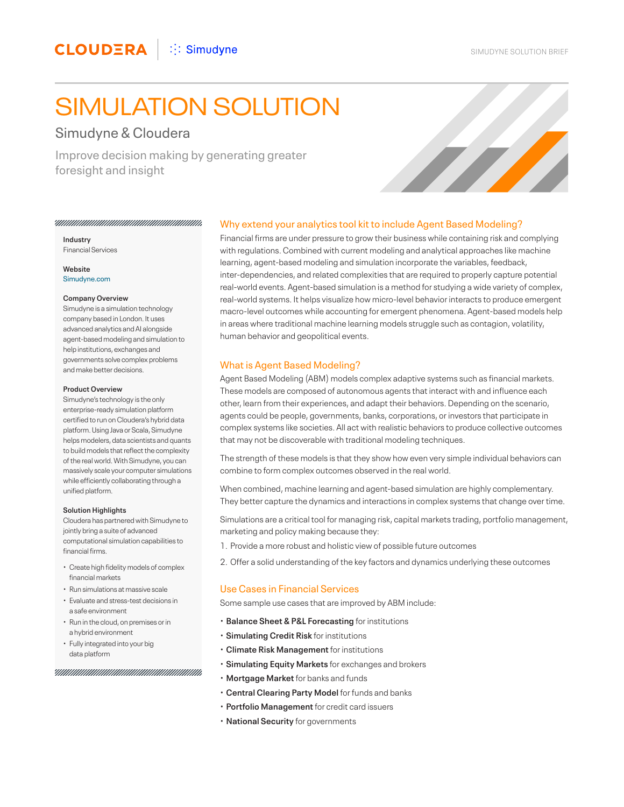# SIMULATION SOLUTION

# Simudyne & Cloudera

Improve decision making by generating greater foresight and insight



**Industry** Financial Services

**Website** [Simudyne.com](https://www.simudyne.com)

#### **Company Overview**

Simudyne is a simulation technology company based in London. It uses advanced analytics and AI alongside agent-based modeling and simulation to help institutions, exchanges and governments solve complex problems and make better decisions.

#### **Product Overview**

Simudyne's technology is the only enterprise-ready simulation platform certified to run on Cloudera's hybrid data platform. Using Java or Scala, Simudyne helps modelers, data scientists and quants to build models that reflect the complexity of the real world. With Simudyne, you can massively scale your computer simulations while efficiently collaborating through a unified platform.

#### **Solution Highlights**

Cloudera has partnered with Simudyne to jointly bring a suite of advanced computational simulation capabilities to financial firms.

- Create high fidelity models of complex financial markets
- Run simulations at massive scale
- Evaluate and stress-test decisions in a safe environment
- Run in the cloud, on premises or in a hybrid environment
- Fully integrated into your big data platform

#### 

## Why extend your analytics tool kit to include Agent Based Modeling?

Financial firms are under pressure to grow their business while containing risk and complying with regulations. Combined with current modeling and analytical approaches like machine learning, agent-based modeling and simulation incorporate the variables, feedback, inter-dependencies, and related complexities that are required to properly capture potential real-world events. Agent-based simulation is a method for studying a wide variety of complex, real-world systems. It helps visualize how micro-level behavior interacts to produce emergent macro-level outcomes while accounting for emergent phenomena. Agent-based models help in areas where traditional machine learning models struggle such as contagion, volatility, human behavior and geopolitical events.

## What is Agent Based Modeling?

Agent Based Modeling (ABM) models complex adaptive systems such as financial markets. These models are composed of autonomous agents that interact with and influence each other, learn from their experiences, and adapt their behaviors. Depending on the scenario, agents could be people, governments, banks, corporations, or investors that participate in complex systems like societies. All act with realistic behaviors to produce collective outcomes that may not be discoverable with traditional modeling techniques.

The strength of these models is that they show how even very simple individual behaviors can combine to form complex outcomes observed in the real world.

When combined, machine learning and agent-based simulation are highly complementary. They better capture the dynamics and interactions in complex systems that change over time.

Simulations are a critical tool for managing risk, capital markets trading, portfolio management, marketing and policy making because they:

- 1. Provide a more robust and holistic view of possible future outcomes
- 2. Offer a solid understanding of the key factors and dynamics underlying these outcomes

## Use Cases in Financial Services

Some sample use cases that are improved by ABM include:

- **Balance Sheet & P&L Forecasting** for institutions
- **Simulating Credit Risk** for institutions
- **Climate Risk Management** for institutions
- **Simulating Equity Markets** for exchanges and brokers
- **Mortgage Market** for banks and funds
- **Central Clearing Party Model** for funds and banks
- **Portfolio Management** for credit card issuers
- **National Security** for governments